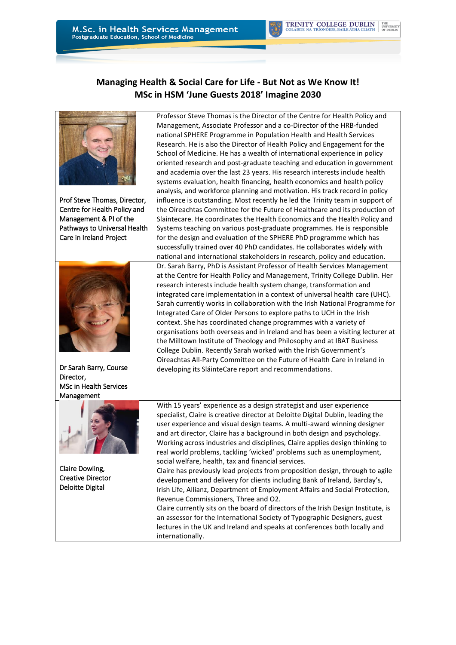## **Managing Health & Social Care for Life - But Not as We Know It! MSc in HSM 'June Guests 2018' Imagine 2030**



Prof Steve Thomas, Director, Centre for Health Policy and Management & PI of the Pathways to Universal Health Care in Ireland Project



Dr Sarah Barry, Course Director, MSc in Health Services Management



Claire Dowling, Creative Director Deloitte Digital

Professor Steve Thomas is the Director of the Centre for Health Policy and Management, Associate Professor and a co-Director of the HRB-funded national SPHERE Programme in Population Health and Health Services Research. He is also the Director of Health Policy and Engagement for the School of Medicine. He has a wealth of international experience in policy oriented research and post-graduate teaching and education in government and academia over the last 23 years. His research interests include health systems evaluation, health financing, health economics and health policy analysis, and workforce planning and motivation. His track record in policy influence is outstanding. Most recently he led the Trinity team in support of the Oireachtas Committee for the Future of Healthcare and its production of Slaintecare. He coordinates the Health Economics and the Health Policy and Systems teaching on various post-graduate programmes. He is responsible for the design and evaluation of the SPHERE PhD programme which has successfully trained over 40 PhD candidates. He collaborates widely with national and international stakeholders in research, policy and education.

Dr. Sarah Barry, PhD is Assistant Professor of Health Services Management at the Centre for Health Policy and Management, Trinity College Dublin. Her research interests include health system change, transformation and integrated care implementation in a context of universal health care (UHC). Sarah currently works in collaboration with the Irish National Programme for Integrated Care of Older Persons to explore paths to UCH in the Irish context. She has coordinated change programmes with a variety of organisations both overseas and in Ireland and has been a visiting lecturer at the Milltown Institute of Theology and Philosophy and at IBAT Business College Dublin. Recently Sarah worked with the Irish Government's Oireachtas All-Party Committee on the Future of Health Care in Ireland in developing its SláinteCare report and recommendations.

With 15 years' experience as a design strategist and user experience specialist, Claire is creative director at Deloitte Digital Dublin, leading the user experience and visual design teams. A multi-award winning designer and art director, Claire has a background in both design and psychology. Working across industries and disciplines, Claire applies design thinking to real world problems, tackling 'wicked' problems such as unemployment, social welfare, health, tax and financial services.

Claire has previously lead projects from proposition design, through to agile development and delivery for clients including Bank of Ireland, Barclay's, Irish Life, Allianz, Department of Employment Affairs and Social Protection, Revenue Commissioners, Three and O2.

Claire currently sits on the board of directors of the Irish Design Institute, is an assessor for the International Society of Typographic Designers, guest lectures in the UK and Ireland and speaks at conferences both locally and internationally.